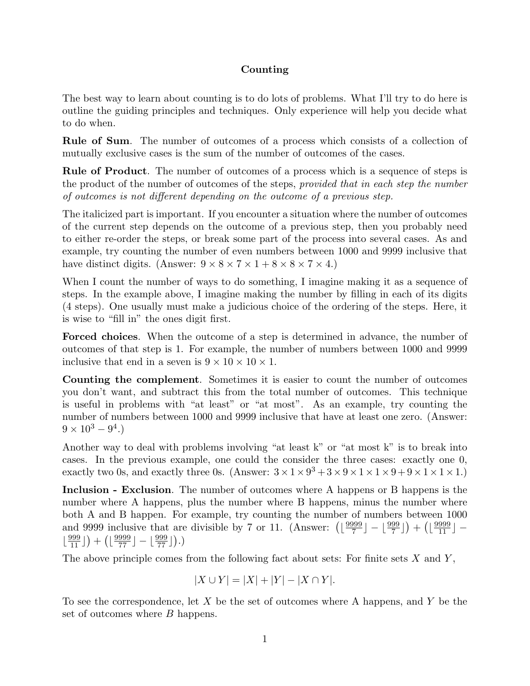## Counting

The best way to learn about counting is to do lots of problems. What I'll try to do here is outline the guiding principles and techniques. Only experience will help you decide what to do when.

Rule of Sum. The number of outcomes of a process which consists of a collection of mutually exclusive cases is the sum of the number of outcomes of the cases.

Rule of Product. The number of outcomes of a process which is a sequence of steps is the product of the number of outcomes of the steps, provided that in each step the number of outcomes is not different depending on the outcome of a previous step.

The italicized part is important. If you encounter a situation where the number of outcomes of the current step depends on the outcome of a previous step, then you probably need to either re-order the steps, or break some part of the process into several cases. As and example, try counting the number of even numbers between 1000 and 9999 inclusive that have distinct digits. (Answer:  $9 \times 8 \times 7 \times 1 + 8 \times 8 \times 7 \times 4$ .)

When I count the number of ways to do something, I imagine making it as a sequence of steps. In the example above, I imagine making the number by filling in each of its digits (4 steps). One usually must make a judicious choice of the ordering of the steps. Here, it is wise to "fill in" the ones digit first.

Forced choices. When the outcome of a step is determined in advance, the number of outcomes of that step is 1. For example, the number of numbers between 1000 and 9999 inclusive that end in a seven is  $9 \times 10 \times 10 \times 1$ .

Counting the complement. Sometimes it is easier to count the number of outcomes you don't want, and subtract this from the total number of outcomes. This technique is useful in problems with "at least" or "at most". As an example, try counting the number of numbers between 1000 and 9999 inclusive that have at least one zero. (Answer:  $9 \times 10^3 - 9^4.$ 

Another way to deal with problems involving "at least k" or "at most k" is to break into cases. In the previous example, one could the consider the three cases: exactly one 0, exactly two 0s, and exactly three 0s. (Answer:  $3 \times 1 \times 9^3 + 3 \times 9 \times 1 \times 1 \times 9 + 9 \times 1 \times 1 \times 1$ .)

Inclusion - Exclusion. The number of outcomes where A happens or B happens is the number where A happens, plus the number where B happens, minus the number where both A and B happen. For example, try counting the number of numbers between 1000 and 9999 inclusive that are divisible by 7 or 11. (Answer:  $\left(\frac{9999}{7}\right)$  $\left[\frac{999}{7}\right] - \left[\frac{999}{7}\right] + \left(\left[\frac{9999}{11}\right] - \right]$  $\lfloor \frac{999}{11} \rfloor + \left( \lfloor \frac{9999}{77} \rfloor - \lfloor \frac{999}{77} \rfloor \right).$ 

The above principle comes from the following fact about sets: For finite sets  $X$  and  $Y$ ,

$$
|X \cup Y| = |X| + |Y| - |X \cap Y|.
$$

To see the correspondence, let  $X$  be the set of outcomes where A happens, and  $Y$  be the set of outcomes where B happens.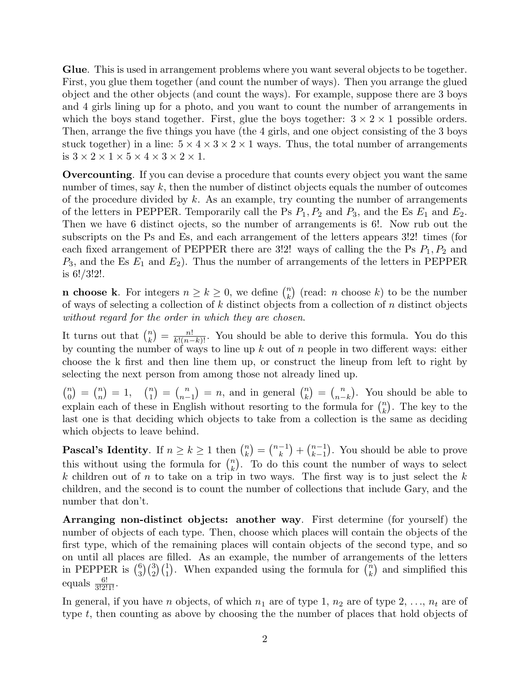Glue. This is used in arrangement problems where you want several objects to be together. First, you glue them together (and count the number of ways). Then you arrange the glued object and the other objects (and count the ways). For example, suppose there are 3 boys and 4 girls lining up for a photo, and you want to count the number of arrangements in which the boys stand together. First, glue the boys together:  $3 \times 2 \times 1$  possible orders. Then, arrange the five things you have (the 4 girls, and one object consisting of the 3 boys stuck together) in a line:  $5 \times 4 \times 3 \times 2 \times 1$  ways. Thus, the total number of arrangements is  $3 \times 2 \times 1 \times 5 \times 4 \times 3 \times 2 \times 1$ .

Overcounting. If you can devise a procedure that counts every object you want the same number of times, say  $k$ , then the number of distinct objects equals the number of outcomes of the procedure divided by  $k$ . As an example, try counting the number of arrangements of the letters in PEPPER. Temporarily call the Ps  $P_1$ ,  $P_2$  and  $P_3$ , and the Es  $E_1$  and  $E_2$ . Then we have 6 distinct ojects, so the number of arrangements is 6!. Now rub out the subscripts on the Ps and Es, and each arrangement of the letters appears 3!2! times (for each fixed arrangement of PEPPER there are 3!2! ways of calling the the Ps  $P_1, P_2$  and  $P_3$ , and the Es  $E_1$  and  $E_2$ ). Thus the number of arrangements of the letters in PEPPER is 6!/3!2!.

**n choose k**. For integers  $n \geq k \geq 0$ , we define  $\binom{n}{k}$  $\binom{n}{k}$  (read: *n* choose *k*) to be the number of ways of selecting a collection of  $k$  distinct objects from a collection of  $n$  distinct objects without regard for the order in which they are chosen.

It turns out that  $\binom{n}{k}$  $\binom{n}{k} = \frac{n!}{k!(n-k)!}$ . You should be able to derive this formula. You do this by counting the number of ways to line up  $k$  out of  $n$  people in two different ways: either choose the k first and then line them up, or construct the lineup from left to right by selecting the next person from among those not already lined up.

 $\binom{n}{0}$  $\binom{n}{0} = \binom{n}{n}$  $\binom{n}{n} = 1, \quad \binom{n}{1}$  $\binom{n}{1} = \binom{n}{n-1}$  $\binom{n}{n-1} = n$ , and in general  $\binom{n}{k}$  $\binom{n}{k} = \binom{n}{n-1}$  $\binom{n}{n-k}$ . You should be able to explain each of these in English without resorting to the formula for  $\binom{n}{k}$  $\binom{n}{k}$ . The key to the last one is that deciding which objects to take from a collection is the same as deciding which objects to leave behind.

**Pascal's Identity.** If  $n \geq k \geq 1$  then  $\binom{n}{k}$  $\binom{n}{k} = \binom{n-1}{k}$  $\binom{-1}{k} + \binom{n-1}{k-1}$  $_{k-1}^{n-1}$ ). You should be able to prove this without using the formula for  $\binom{n}{k}$  $\binom{n}{k}$ . To do this count the number of ways to select k children out of n to take on a trip in two ways. The first way is to just select the k children, and the second is to count the number of collections that include Gary, and the number that don't.

Arranging non-distinct objects: another way. First determine (for yourself) the number of objects of each type. Then, choose which places will contain the objects of the first type, which of the remaining places will contain objects of the second type, and so on until all places are filled. As an example, the number of arrangements of the letters in PEPPER is  $\binom{6}{3}$  $_{3}^{6})$  $_{3}^{(3)}$  $_{1}^{(1)}$ . When expanded using the formula for  $\binom{n}{k}$  $\binom{n}{k}$  and simplified this equals  $\frac{6!}{3!2!1!}$ .

In general, if you have *n* objects, of which  $n_1$  are of type 1,  $n_2$  are of type 2, ...,  $n_t$  are of type t, then counting as above by choosing the the number of places that hold objects of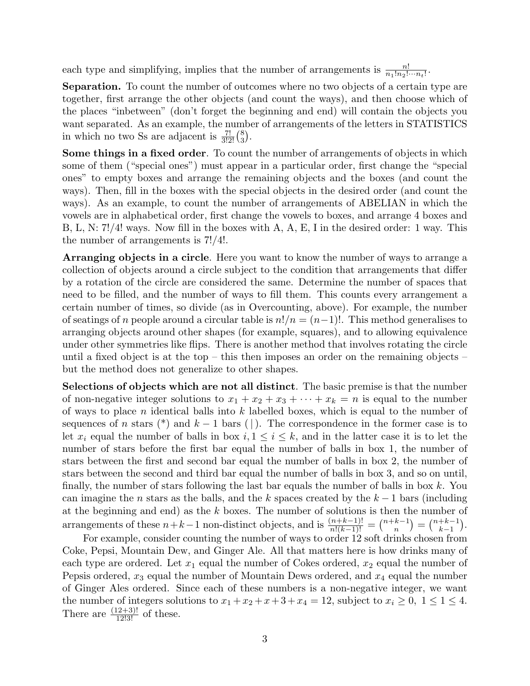each type and simplifying, implies that the number of arrangements is  $\frac{n!}{n_1!n_2!\cdots n_t!}$ .

Separation. To count the number of outcomes where no two objects of a certain type are together, first arrange the other objects (and count the ways), and then choose which of the places "inbetween" (don't forget the beginning and end) will contain the objects you want separated. As an example, the number of arrangements of the letters in STATISTICS in which no two Ss are adjacent is  $\frac{7!}{3!2!}$  $\binom{8}{3}$  $\binom{8}{3}$  .

Some things in a fixed order. To count the number of arrangements of objects in which some of them ("special ones") must appear in a particular order, first change the "special ones" to empty boxes and arrange the remaining objects and the boxes (and count the ways). Then, fill in the boxes with the special objects in the desired order (and count the ways). As an example, to count the number of arrangements of ABELIAN in which the vowels are in alphabetical order, first change the vowels to boxes, and arrange 4 boxes and B, L, N: 7!/4! ways. Now fill in the boxes with A, A, E, I in the desired order: 1 way. This the number of arrangements is 7!/4!.

Arranging objects in a circle. Here you want to know the number of ways to arrange a collection of objects around a circle subject to the condition that arrangements that differ by a rotation of the circle are considered the same. Determine the number of spaces that need to be filled, and the number of ways to fill them. This counts every arrangement a certain number of times, so divide (as in Overcounting, above). For example, the number of seatings of n people around a circular table is  $n!/n = (n-1)!$ . This method generalises to arranging objects around other shapes (for example, squares), and to allowing equivalence under other symmetries like flips. There is another method that involves rotating the circle until a fixed object is at the top – this then imposes an order on the remaining objects – but the method does not generalize to other shapes.

Selections of objects which are not all distinct. The basic premise is that the number of non-negative integer solutions to  $x_1 + x_2 + x_3 + \cdots + x_k = n$  is equal to the number of ways to place n identical balls into  $k$  labelled boxes, which is equal to the number of sequences of n stars (\*) and  $k-1$  bars (|). The correspondence in the former case is to let  $x_i$  equal the number of balls in box  $i, 1 \leq i \leq k$ , and in the latter case it is to let the number of stars before the first bar equal the number of balls in box 1, the number of stars between the first and second bar equal the number of balls in box 2, the number of stars between the second and third bar equal the number of balls in box 3, and so on until, finally, the number of stars following the last bar equals the number of balls in box  $k$ . You can imagine the *n* stars as the balls, and the k spaces created by the  $k-1$  bars (including at the beginning and end) as the k boxes. The number of solutions is then the number of arrangements of these  $n+k-1$  non-distinct objects, and is  $\frac{(n+k-1)!}{n!(k-1)!} = \binom{n+k-1}{n}$  ${n+k-1 \choose k-1}$  $_{k-1}^{+k-1}$ ).

For example, consider counting the number of ways to order 12 soft drinks chosen from Coke, Pepsi, Mountain Dew, and Ginger Ale. All that matters here is how drinks many of each type are ordered. Let  $x_1$  equal the number of Cokes ordered,  $x_2$  equal the number of Pepsis ordered,  $x_3$  equal the number of Mountain Dews ordered, and  $x_4$  equal the number of Ginger Ales ordered. Since each of these numbers is a non-negative integer, we want the number of integers solutions to  $x_1 + x_2 + x_3 + x_4 = 12$ , subject to  $x_i \geq 0$ ,  $1 \leq 1 \leq 4$ . There are  $\frac{(12+3)!}{12!3!}$  of these.